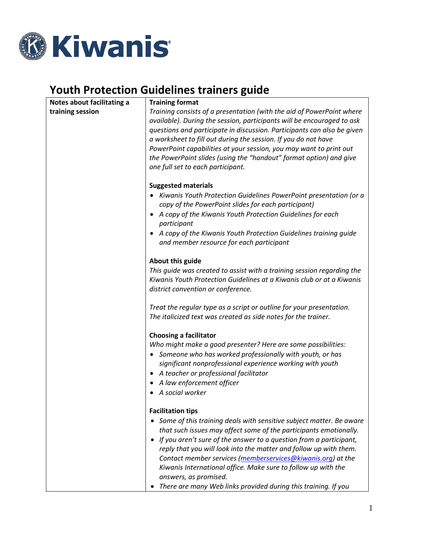

# **Youth Protection Guidelines trainers guide**

| Notes about facilitating a | <b>Training format</b>                                                                                                                                                                                                                                                                                                                                             |
|----------------------------|--------------------------------------------------------------------------------------------------------------------------------------------------------------------------------------------------------------------------------------------------------------------------------------------------------------------------------------------------------------------|
| training session           | Training consists of a presentation (with the aid of PowerPoint where<br>available). During the session, participants will be encouraged to ask<br>questions and participate in discussion. Participants can also be given<br>a worksheet to fill out during the session. If you do not have<br>PowerPoint capabilities at your session, you may want to print out |
|                            | the PowerPoint slides (using the "handout" format option) and give<br>one full set to each participant.                                                                                                                                                                                                                                                            |
|                            | <b>Suggested materials</b><br>• Kiwanis Youth Protection Guidelines PowerPoint presentation (or a<br>copy of the PowerPoint slides for each participant)                                                                                                                                                                                                           |
|                            | A copy of the Kiwanis Youth Protection Guidelines for each<br>٠<br>participant                                                                                                                                                                                                                                                                                     |
|                            | A copy of the Kiwanis Youth Protection Guidelines training guide<br>and member resource for each participant                                                                                                                                                                                                                                                       |
|                            | About this guide                                                                                                                                                                                                                                                                                                                                                   |
|                            | This guide was created to assist with a training session regarding the<br>Kiwanis Youth Protection Guidelines at a Kiwanis club or at a Kiwanis<br>district convention or conference.                                                                                                                                                                              |
|                            | Treat the regular type as a script or outline for your presentation.<br>The italicized text was created as side notes for the trainer.                                                                                                                                                                                                                             |
|                            | <b>Choosing a facilitator</b>                                                                                                                                                                                                                                                                                                                                      |
|                            | Who might make a good presenter? Here are some possibilities:                                                                                                                                                                                                                                                                                                      |
|                            | • Someone who has worked professionally with youth, or has                                                                                                                                                                                                                                                                                                         |
|                            | significant nonprofessional experience working with youth                                                                                                                                                                                                                                                                                                          |
|                            | A teacher or professional facilitator<br>$\bullet$                                                                                                                                                                                                                                                                                                                 |
|                            | A law enforcement officer                                                                                                                                                                                                                                                                                                                                          |
|                            | A social worker                                                                                                                                                                                                                                                                                                                                                    |
|                            | <b>Facilitation tips</b>                                                                                                                                                                                                                                                                                                                                           |
|                            | • Some of this training deals with sensitive subject matter. Be aware                                                                                                                                                                                                                                                                                              |
|                            | that such issues may affect some of the participants emotionally.                                                                                                                                                                                                                                                                                                  |
|                            | If you aren't sure of the answer to a question from a participant,<br>$\bullet$<br>reply that you will look into the matter and follow up with them.                                                                                                                                                                                                               |
|                            | Contact member services (memberservices@kiwanis.org) at the                                                                                                                                                                                                                                                                                                        |
|                            | Kiwanis International office. Make sure to follow up with the<br>answers, as promised.                                                                                                                                                                                                                                                                             |
|                            | There are many Web links provided during this training. If you                                                                                                                                                                                                                                                                                                     |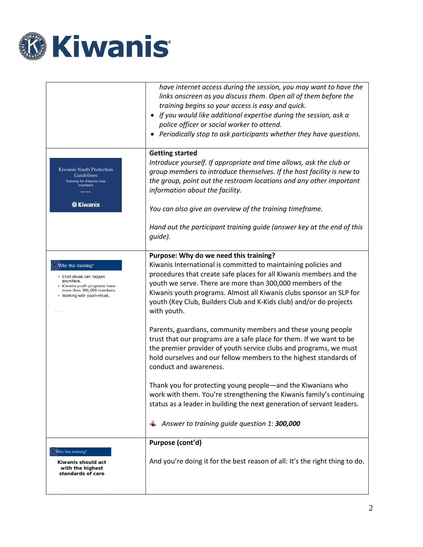

|                                                                                                                                                           | have internet access during the session, you may want to have the<br>links onscreen as you discuss them. Open all of them before the<br>training begins so your access is easy and quick.<br>If you would like additional expertise during the session, ask a<br>police officer or social worker to attend.<br>Periodically stop to ask participants whether they have questions.                                                                                                                                                                                                                                                                                                                                                                                                                                                                                                                                                    |
|-----------------------------------------------------------------------------------------------------------------------------------------------------------|--------------------------------------------------------------------------------------------------------------------------------------------------------------------------------------------------------------------------------------------------------------------------------------------------------------------------------------------------------------------------------------------------------------------------------------------------------------------------------------------------------------------------------------------------------------------------------------------------------------------------------------------------------------------------------------------------------------------------------------------------------------------------------------------------------------------------------------------------------------------------------------------------------------------------------------|
| Kiwanis Youth Protection<br>Guidelines<br>Training for Kiwanis-club<br>members<br>Date here<br><b><i><b>&amp;</b></i></b> Kiwanis                         | <b>Getting started</b><br>Introduce yourself. If appropriate and time allows, ask the club or<br>group members to introduce themselves. If the host facility is new to<br>the group, point out the restroom locations and any other important<br>information about the facility.<br>You can also give an overview of the training timeframe.<br>Hand out the participant training guide (answer key at the end of this<br>guide).                                                                                                                                                                                                                                                                                                                                                                                                                                                                                                    |
| Why this training?<br>· Child abuse can happen<br>anywhere.<br>• Kiwanis youth programs have<br>more than 300,000 members.<br>• Working with youth=trust. | Purpose: Why do we need this training?<br>Kiwanis International is committed to maintaining policies and<br>procedures that create safe places for all Kiwanis members and the<br>youth we serve. There are more than 300,000 members of the<br>Kiwanis youth programs. Almost all Kiwanis clubs sponsor an SLP for<br>youth (Key Club, Builders Club and K-Kids club) and/or do projects<br>with youth.<br>Parents, guardians, community members and these young people<br>trust that our programs are a safe place for them. If we want to be<br>the premier provider of youth service clubs and programs, we must<br>hold ourselves and our fellow members to the highest standards of<br>conduct and awareness.<br>Thank you for protecting young people—and the Kiwanians who<br>work with them. You're strengthening the Kiwanis family's continuing<br>status as a leader in building the next generation of servant leaders. |
|                                                                                                                                                           | Answer to training guide question 1: 300,000                                                                                                                                                                                                                                                                                                                                                                                                                                                                                                                                                                                                                                                                                                                                                                                                                                                                                         |
| Why this training?<br>Kiwanis should act<br>with the highest<br>standards of care                                                                         | Purpose (cont'd)<br>And you're doing it for the best reason of all: It's the right thing to do.                                                                                                                                                                                                                                                                                                                                                                                                                                                                                                                                                                                                                                                                                                                                                                                                                                      |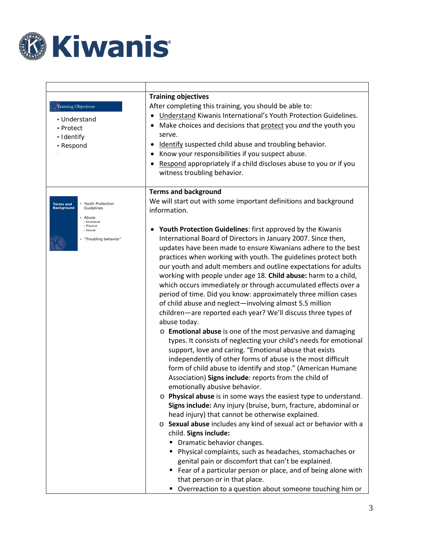

| <b>Training Objectives</b><br>• Understand<br>• Protect<br>· Identify<br>• Respond                                                                      | <b>Training objectives</b><br>After completing this training, you should be able to:<br>Understand Kiwanis International's Youth Protection Guidelines.<br>$\bullet$<br>Make choices and decisions that protect you and the youth you<br>serve.<br>Identify suspected child abuse and troubling behavior.<br>• Know your responsibilities if you suspect abuse.<br>Respond appropriately if a child discloses abuse to you or if you<br>witness troubling behavior.                                                                                                                                                                                                                                                                                                                                                                                                                                                                                                                                                                                                                                                                                                                                                                                                                                                                                                                                                                                                                                                                                                                                                                                                                                                                                      |
|---------------------------------------------------------------------------------------------------------------------------------------------------------|----------------------------------------------------------------------------------------------------------------------------------------------------------------------------------------------------------------------------------------------------------------------------------------------------------------------------------------------------------------------------------------------------------------------------------------------------------------------------------------------------------------------------------------------------------------------------------------------------------------------------------------------------------------------------------------------------------------------------------------------------------------------------------------------------------------------------------------------------------------------------------------------------------------------------------------------------------------------------------------------------------------------------------------------------------------------------------------------------------------------------------------------------------------------------------------------------------------------------------------------------------------------------------------------------------------------------------------------------------------------------------------------------------------------------------------------------------------------------------------------------------------------------------------------------------------------------------------------------------------------------------------------------------------------------------------------------------------------------------------------------------|
| • Youth Protection<br><b>Terms and</b><br><b>Background</b><br>Guidelines<br>• Abuse<br>• Emotional<br>· Physical<br>· Sexual<br>• "Troubling behavior" | <b>Terms and background</b><br>We will start out with some important definitions and background<br>information.<br>Youth Protection Guidelines: first approved by the Kiwanis<br>International Board of Directors in January 2007. Since then,<br>updates have been made to ensure Kiwanians adhere to the best<br>practices when working with youth. The guidelines protect both<br>our youth and adult members and outline expectations for adults<br>working with people under age 18. Child abuse: harm to a child,<br>which occurs immediately or through accumulated effects over a<br>period of time. Did you know: approximately three million cases<br>of child abuse and neglect-involving almost 5.5 million<br>children—are reported each year? We'll discuss three types of<br>abuse today.<br>$\circ$ Emotional abuse is one of the most pervasive and damaging<br>types. It consists of neglecting your child's needs for emotional<br>support, love and caring. "Emotional abuse that exists<br>independently of other forms of abuse is the most difficult<br>form of child abuse to identify and stop." (American Humane<br>Association) Signs include: reports from the child of<br>emotionally abusive behavior.<br>$\circ$ Physical abuse is in some ways the easiest type to understand.<br>Signs include: Any injury (bruise, burn, fracture, abdominal or<br>head injury) that cannot be otherwise explained.<br>o Sexual abuse includes any kind of sexual act or behavior with a<br>child. Signs include:<br>" Dramatic behavior changes.<br>Physical complaints, such as headaches, stomachaches or<br>genital pain or discomfort that can't be explained.<br>■ Fear of a particular person or place, and of being alone with |
|                                                                                                                                                         | that person or in that place.<br>Overreaction to a question about someone touching him or<br>п                                                                                                                                                                                                                                                                                                                                                                                                                                                                                                                                                                                                                                                                                                                                                                                                                                                                                                                                                                                                                                                                                                                                                                                                                                                                                                                                                                                                                                                                                                                                                                                                                                                           |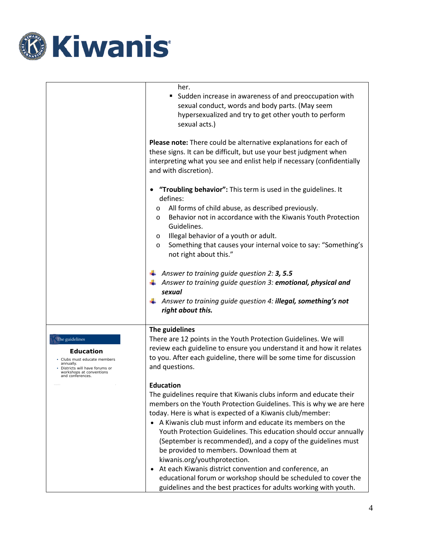

|                                                                                                                                                                | her.<br>Sudden increase in awareness of and preoccupation with<br>sexual conduct, words and body parts. (May seem<br>hypersexualized and try to get other youth to perform<br>sexual acts.)                                                                                                                                                                                                                                                                                                                                                                                                                                                                                                                            |
|----------------------------------------------------------------------------------------------------------------------------------------------------------------|------------------------------------------------------------------------------------------------------------------------------------------------------------------------------------------------------------------------------------------------------------------------------------------------------------------------------------------------------------------------------------------------------------------------------------------------------------------------------------------------------------------------------------------------------------------------------------------------------------------------------------------------------------------------------------------------------------------------|
|                                                                                                                                                                | Please note: There could be alternative explanations for each of<br>these signs. It can be difficult, but use your best judgment when<br>interpreting what you see and enlist help if necessary (confidentially<br>and with discretion).                                                                                                                                                                                                                                                                                                                                                                                                                                                                               |
|                                                                                                                                                                | "Troubling behavior": This term is used in the guidelines. It<br>defines:<br>All forms of child abuse, as described previously.<br>$\circ$<br>Behavior not in accordance with the Kiwanis Youth Protection<br>$\circ$<br>Guidelines.<br>Illegal behavior of a youth or adult.<br>$\circ$<br>Something that causes your internal voice to say: "Something's<br>O<br>not right about this."                                                                                                                                                                                                                                                                                                                              |
|                                                                                                                                                                | $\overline{\phantom{a}}$ Answer to training guide question 2: <b>3, 5.5</b><br>$\downarrow$ Answer to training guide question 3: emotional, physical and<br>sexual<br>$\frac{1}{2}$ Answer to training guide question 4: <b>illegal, something's not</b><br>right about this.                                                                                                                                                                                                                                                                                                                                                                                                                                          |
| The guidelines<br><b>Education</b><br>Clubs must educate members<br>annually.<br>Districts will have forums or<br>workshops at conventions<br>and conferences. | The guidelines<br>There are 12 points in the Youth Protection Guidelines. We will<br>review each guideline to ensure you understand it and how it relates<br>to you. After each guideline, there will be some time for discussion<br>and questions.                                                                                                                                                                                                                                                                                                                                                                                                                                                                    |
|                                                                                                                                                                | <b>Education</b><br>The guidelines require that Kiwanis clubs inform and educate their<br>members on the Youth Protection Guidelines. This is why we are here<br>today. Here is what is expected of a Kiwanis club/member:<br>A Kiwanis club must inform and educate its members on the<br>Youth Protection Guidelines. This education should occur annually<br>(September is recommended), and a copy of the guidelines must<br>be provided to members. Download them at<br>kiwanis.org/youthprotection.<br>At each Kiwanis district convention and conference, an<br>$\bullet$<br>educational forum or workshop should be scheduled to cover the<br>guidelines and the best practices for adults working with youth. |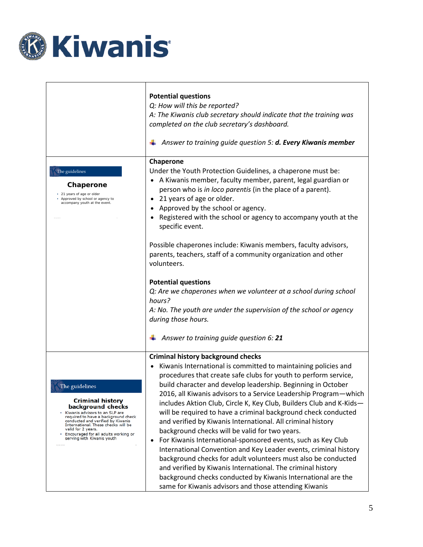

|                                                                                                                                                                                                                                                                                                                   | <b>Potential questions</b><br>Q: How will this be reported?<br>A: The Kiwanis club secretary should indicate that the training was<br>completed on the club secretary's dashboard.<br>Answer to training guide question 5: d. Every Kiwanis member                                                                                                                                                                                                                                                                                                                                                                                                                                                                                                                                                                                                                                                                                                                                     |
|-------------------------------------------------------------------------------------------------------------------------------------------------------------------------------------------------------------------------------------------------------------------------------------------------------------------|----------------------------------------------------------------------------------------------------------------------------------------------------------------------------------------------------------------------------------------------------------------------------------------------------------------------------------------------------------------------------------------------------------------------------------------------------------------------------------------------------------------------------------------------------------------------------------------------------------------------------------------------------------------------------------------------------------------------------------------------------------------------------------------------------------------------------------------------------------------------------------------------------------------------------------------------------------------------------------------|
| The guidelines<br>Chaperone<br>• 21 years of age or older<br>Approved by school or agency to<br>accompany youth at the event.                                                                                                                                                                                     | Chaperone<br>Under the Youth Protection Guidelines, a chaperone must be:<br>A Kiwanis member, faculty member, parent, legal guardian or<br>person who is in loco parentis (in the place of a parent).<br>21 years of age or older.<br>$\bullet$<br>Approved by the school or agency.<br>$\bullet$<br>Registered with the school or agency to accompany youth at the<br>$\bullet$<br>specific event.<br>Possible chaperones include: Kiwanis members, faculty advisors,<br>parents, teachers, staff of a community organization and other<br>volunteers.<br><b>Potential questions</b><br>Q: Are we chaperones when we volunteer at a school during school<br>hours?<br>A: No. The youth are under the supervision of the school or agency<br>during those hours.<br>Answer to training guide question 6: 21                                                                                                                                                                            |
|                                                                                                                                                                                                                                                                                                                   |                                                                                                                                                                                                                                                                                                                                                                                                                                                                                                                                                                                                                                                                                                                                                                                                                                                                                                                                                                                        |
| The guidelines<br><b>Criminal history</b><br>background checks<br>Kiwanis advisors to an SLP are<br>required to have a background check<br>conducted and verified by Kiwanis<br>International. These checks will be<br>valid for 2 years.<br>· Encouraged for all adults working or<br>serving with Kiwanis youth | <b>Criminal history background checks</b><br>Kiwanis International is committed to maintaining policies and<br>procedures that create safe clubs for youth to perform service,<br>build character and develop leadership. Beginning in October<br>2016, all Kiwanis advisors to a Service Leadership Program—which<br>includes Aktion Club, Circle K, Key Club, Builders Club and K-Kids-<br>will be required to have a criminal background check conducted<br>and verified by Kiwanis International. All criminal history<br>background checks will be valid for two years.<br>For Kiwanis International-sponsored events, such as Key Club<br>$\bullet$<br>International Convention and Key Leader events, criminal history<br>background checks for adult volunteers must also be conducted<br>and verified by Kiwanis International. The criminal history<br>background checks conducted by Kiwanis International are the<br>same for Kiwanis advisors and those attending Kiwanis |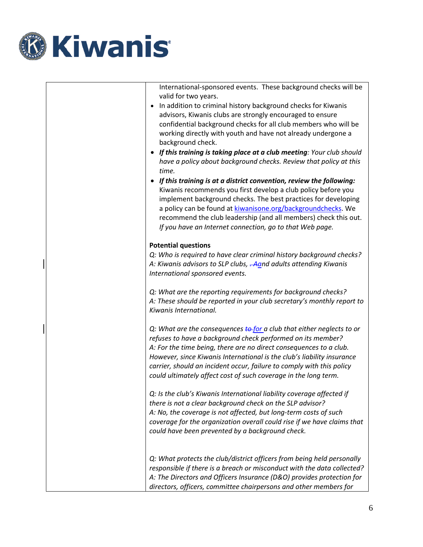

|                      | International-sponsored events. These background checks will be |
|----------------------|-----------------------------------------------------------------|
| valid for two years. |                                                                 |

- In addition to criminal history background checks for Kiwanis advisors, Kiwanis clubs are strongly encouraged to ensure confidential background checks for all club members who will be working directly with youth and have not already undergone a background check.
- *If this training is taking place at a club meeting: Your club should have a policy about background checks. Review that policy at this time.*
- *If this training is at a district convention, review the following:* Kiwanis recommends you first develop a club policy before you implement background checks. The best practices for developing a policy can be found a[t kiwanisone.org/backgroundchecks.](http://kiwanisone.org/backgroundchecks) We recommend the club leadership (and all members) check this out. *If you have an Internet connection, go to that Web page.*

### **Potential questions**

*Q: Who is required to have clear criminal history background checks? A: Kiwanis advisors to SLP clubs, . Aand adults attending Kiwanis International sponsored events.*

*Q: What are the reporting requirements for background checks? A: These should be reported in your club secretary's monthly report to Kiwanis International.*

*Q: What are the consequences to for a club that either neglects to or refuses to have a background check performed on its member? A: For the time being, there are no direct consequences to a club. However, since Kiwanis International is the club's liability insurance carrier, should an incident occur, failure to comply with this policy could ultimately affect cost of such coverage in the long term.* 

*Q: Is the club's Kiwanis International liability coverage affected if there is not a clear background check on the SLP advisor? A: No, the coverage is not affected, but long-term costs of such coverage for the organization overall could rise if we have claims that could have been prevented by a background check.* 

*Q: What protects the club/district officers from being held personally responsible if there is a breach or misconduct with the data collected? A: The Directors and Officers Insurance (D&O) provides protection for directors, officers, committee chairpersons and other members for*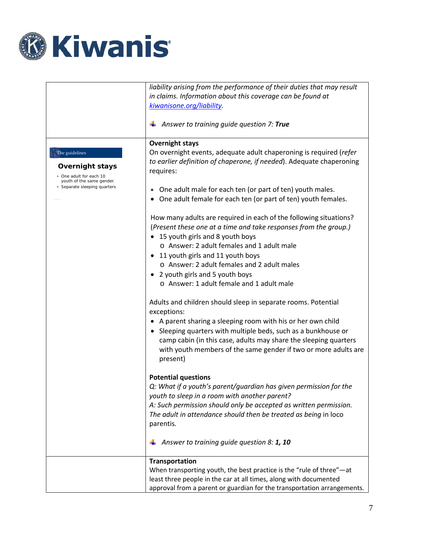

|                                                                                                                                  | liability arising from the performance of their duties that may result<br>in claims. Information about this coverage can be found at<br>kiwanisone.org/liability.<br>Answer to training guide question 7: True                                                                                                                                                                                                                                                                                                                                                                                                                                                                                                                                                                                                                                                                                                                                                                                                                                                                                                                                                                                                                             |
|----------------------------------------------------------------------------------------------------------------------------------|--------------------------------------------------------------------------------------------------------------------------------------------------------------------------------------------------------------------------------------------------------------------------------------------------------------------------------------------------------------------------------------------------------------------------------------------------------------------------------------------------------------------------------------------------------------------------------------------------------------------------------------------------------------------------------------------------------------------------------------------------------------------------------------------------------------------------------------------------------------------------------------------------------------------------------------------------------------------------------------------------------------------------------------------------------------------------------------------------------------------------------------------------------------------------------------------------------------------------------------------|
| The guidelines<br><b>Overnight stays</b><br>• One adult for each 10<br>youth of the same gender.<br>• Separate sleeping quarters | <b>Overnight stays</b><br>On overnight events, adequate adult chaperoning is required (refer<br>to earlier definition of chaperone, if needed). Adequate chaperoning<br>requires:<br>One adult male for each ten (or part of ten) youth males.<br>One adult female for each ten (or part of ten) youth females.<br>How many adults are required in each of the following situations?<br>(Present these one at a time and take responses from the group.)<br>• 15 youth girls and 8 youth boys<br>o Answer: 2 adult females and 1 adult male<br>• 11 youth girls and 11 youth boys<br>o Answer: 2 adult females and 2 adult males<br>• 2 youth girls and 5 youth boys<br>o Answer: 1 adult female and 1 adult male<br>Adults and children should sleep in separate rooms. Potential<br>exceptions:<br>• A parent sharing a sleeping room with his or her own child<br>• Sleeping quarters with multiple beds, such as a bunkhouse or<br>camp cabin (in this case, adults may share the sleeping quarters<br>with youth members of the same gender if two or more adults are<br>present)<br><b>Potential questions</b><br>Q: What if a youth's parent/guardian has given permission for the<br>youth to sleep in a room with another parent? |
|                                                                                                                                  | A: Such permission should only be accepted as written permission.<br>The adult in attendance should then be treated as being in loco<br>parentis.<br>Answer to training quide question 8: 1, 10                                                                                                                                                                                                                                                                                                                                                                                                                                                                                                                                                                                                                                                                                                                                                                                                                                                                                                                                                                                                                                            |
|                                                                                                                                  | Transportation<br>When transporting youth, the best practice is the "rule of three" $-$ at<br>least three people in the car at all times, along with documented<br>approval from a parent or guardian for the transportation arrangements.                                                                                                                                                                                                                                                                                                                                                                                                                                                                                                                                                                                                                                                                                                                                                                                                                                                                                                                                                                                                 |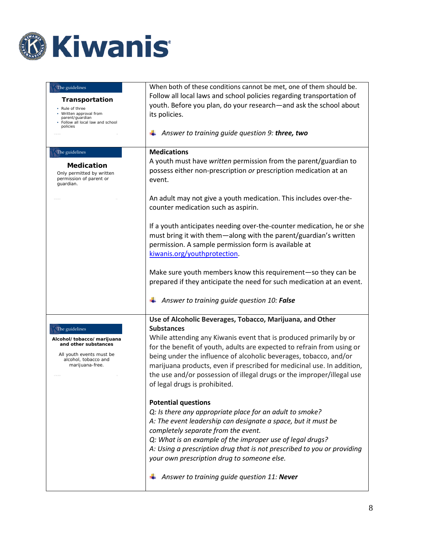

| The guidelines<br>Transportation<br>• Rule of three<br>Written approval from<br>parent/guardian<br>• Follow all local law and school<br>policies | When both of these conditions cannot be met, one of them should be.<br>Follow all local laws and school policies regarding transportation of<br>youth. Before you plan, do your research-and ask the school about<br>its policies.<br>Answer to training guide question 9: three, two                                                                                                                                                                                                                                                                                                                                                                                                                         |
|--------------------------------------------------------------------------------------------------------------------------------------------------|---------------------------------------------------------------------------------------------------------------------------------------------------------------------------------------------------------------------------------------------------------------------------------------------------------------------------------------------------------------------------------------------------------------------------------------------------------------------------------------------------------------------------------------------------------------------------------------------------------------------------------------------------------------------------------------------------------------|
| The guidelines<br><b>Medication</b><br>Only permitted by written<br>permission of parent or<br>guardian.                                         | <b>Medications</b><br>A youth must have written permission from the parent/guardian to<br>possess either non-prescription or prescription medication at an<br>event.<br>An adult may not give a youth medication. This includes over-the-<br>counter medication such as aspirin.<br>If a youth anticipates needing over-the-counter medication, he or she<br>must bring it with them-along with the parent/guardian's written<br>permission. A sample permission form is available at<br>kiwanis.org/youthprotection.<br>Make sure youth members know this requirement-so they can be<br>prepared if they anticipate the need for such medication at an event.<br>Answer to training guide question 10: False |
|                                                                                                                                                  |                                                                                                                                                                                                                                                                                                                                                                                                                                                                                                                                                                                                                                                                                                               |
| The guidelines<br>Alcohol/tobacco/marijuana<br>and other substances<br>All youth events must be<br>alcohol, tobacco and<br>marijuana-free.       | Use of Alcoholic Beverages, Tobacco, Marijuana, and Other<br><b>Substances</b><br>While attending any Kiwanis event that is produced primarily by or<br>for the benefit of youth, adults are expected to refrain from using or<br>being under the influence of alcoholic beverages, tobacco, and/or<br>marijuana products, even if prescribed for medicinal use. In addition,<br>the use and/or possession of illegal drugs or the improper/illegal use<br>of legal drugs is prohibited.                                                                                                                                                                                                                      |
|                                                                                                                                                  | <b>Potential questions</b><br>Q: Is there any appropriate place for an adult to smoke?<br>A: The event leadership can designate a space, but it must be<br>completely separate from the event.<br>Q: What is an example of the improper use of legal drugs?<br>A: Using a prescription drug that is not prescribed to you or providing<br>your own prescription drug to someone else.<br>Answer to training guide question 11: Never                                                                                                                                                                                                                                                                          |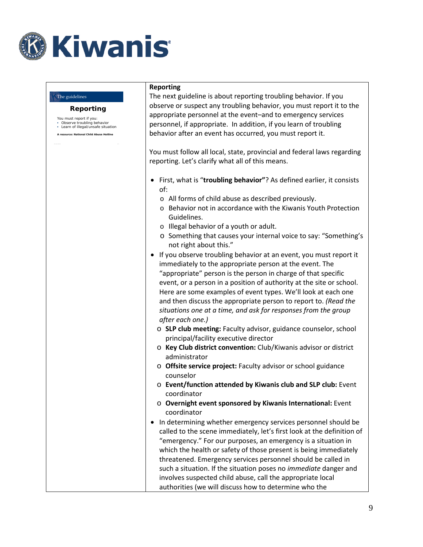

## **Reporting** You must report if you: • Observe troubling behavior • Learn of illegal/unsafe situation **A resource: National Child Abuse Hotline** The guidelines **Reporting** The next guideline is about reporting troubling behavior. If you observe or suspect any troubling behavior, you must report it to the appropriate personnel at the event–and to emergency services personnel, if appropriate. In addition, if you learn of troubling behavior after an event has occurred, you must report it. You must follow all local, state, provincial and federal laws regarding reporting. Let's clarify what all of this means. • First, what is "**troubling behavior"**? As defined earlier, it consists of: o All forms of child abuse as described previously. o Behavior not in accordance with the Kiwanis Youth Protection Guidelines. o Illegal behavior of a youth or adult. o Something that causes your internal voice to say: "Something's not right about this." • If you observe troubling behavior at an event, you must report it immediately to the appropriate person at the event. The "appropriate" person is the person in charge of that specific event, or a person in a position of authority at the site or school. Here are some examples of event types. We'll look at each one and then discuss the appropriate person to report to. *(Read the situations one at a time, and ask for responses from the group after each one.)* o **SLP club meeting:** Faculty advisor, guidance counselor, school principal/facility executive director o **Key Club district convention:** Club/Kiwanis advisor or district administrator o **Offsite service project:** Faculty advisor or school guidance counselor o **Event/function attended by Kiwanis club and SLP club:** Event coordinator o **Overnight event sponsored by Kiwanis International:** Event coordinator • In determining whether emergency services personnel should be called to the scene immediately, let's first look at the definition of "emergency." For our purposes, an emergency is a situation in which the health or safety of those present is being immediately threatened. Emergency services personnel should be called in such a situation. If the situation poses no *immediate* danger and involves suspected child abuse, call the appropriate local authorities (we will discuss how to determine who the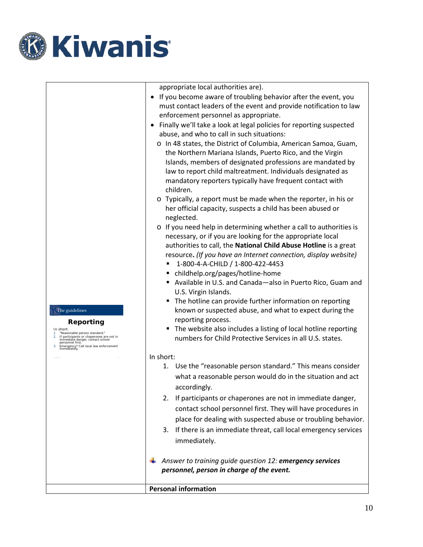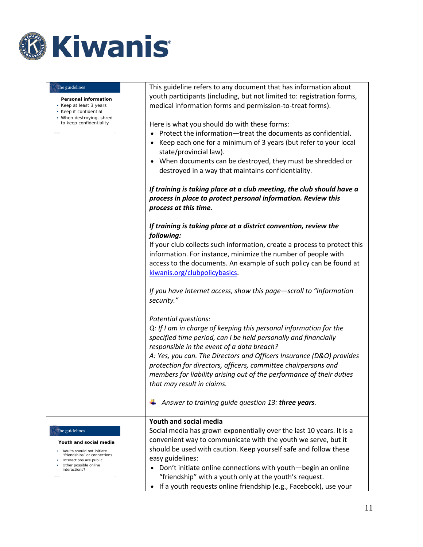

| The guidelines                                                            | This guideline refers to any document that has information about<br>youth participants (including, but not limited to: registration forms,                      |
|---------------------------------------------------------------------------|-----------------------------------------------------------------------------------------------------------------------------------------------------------------|
| Personal information<br>• Keep at least 3 years<br>• Keep it confidential | medical information forms and permission-to-treat forms).                                                                                                       |
| • When destroying, shred<br>to keep confidentiality                       | Here is what you should do with these forms:                                                                                                                    |
|                                                                           | Protect the information-treat the documents as confidential.                                                                                                    |
|                                                                           | Keep each one for a minimum of 3 years (but refer to your local                                                                                                 |
|                                                                           | state/provincial law).                                                                                                                                          |
|                                                                           | When documents can be destroyed, they must be shredded or<br>destroyed in a way that maintains confidentiality.                                                 |
|                                                                           | If training is taking place at a club meeting, the club should have a<br>process in place to protect personal information. Review this<br>process at this time. |
|                                                                           | If training is taking place at a district convention, review the<br>following:                                                                                  |
|                                                                           | If your club collects such information, create a process to protect this                                                                                        |
|                                                                           | information. For instance, minimize the number of people with                                                                                                   |
|                                                                           | access to the documents. An example of such policy can be found at                                                                                              |
|                                                                           | kiwanis.org/clubpolicybasics.                                                                                                                                   |
|                                                                           | If you have Internet access, show this page-scroll to "Information"<br>security."                                                                               |
|                                                                           | Potential questions:                                                                                                                                            |
|                                                                           | Q: If I am in charge of keeping this personal information for the                                                                                               |
|                                                                           | specified time period, can I be held personally and financially                                                                                                 |
|                                                                           | responsible in the event of a data breach?                                                                                                                      |
|                                                                           | A: Yes, you can. The Directors and Officers Insurance (D&O) provides                                                                                            |
|                                                                           | protection for directors, officers, committee chairpersons and<br>members for liability arising out of the performance of their duties                          |
|                                                                           | that may result in claims.                                                                                                                                      |
|                                                                           |                                                                                                                                                                 |
|                                                                           | Answer to training quide question 13: three years.                                                                                                              |
|                                                                           | Youth and social media                                                                                                                                          |
| The guidelines                                                            | Social media has grown exponentially over the last 10 years. It is a                                                                                            |
| Youth and social media                                                    | convenient way to communicate with the youth we serve, but it                                                                                                   |
| • Adults should not initiate<br>"friendships" or connections              | should be used with caution. Keep yourself safe and follow these                                                                                                |
| Interactions are public<br>Other possible online                          | easy guidelines:                                                                                                                                                |
| interactions?                                                             | • Don't initiate online connections with youth-begin an online                                                                                                  |
|                                                                           | "friendship" with a youth only at the youth's request.<br>If a youth requests online friendship (e.g., Facebook), use your                                      |
|                                                                           |                                                                                                                                                                 |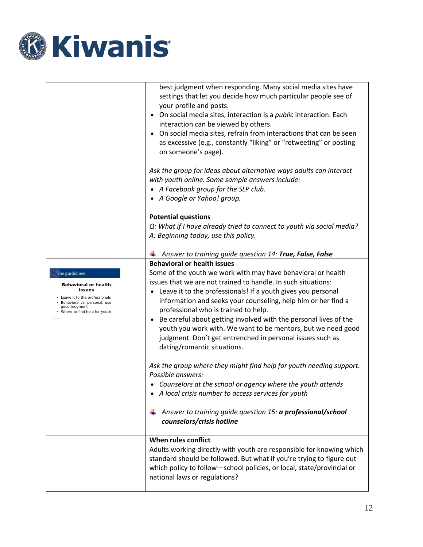

|                                                                                                                                                                          | best judgment when responding. Many social media sites have<br>settings that let you decide how much particular people see of<br>your profile and posts.<br>• On social media sites, interaction is a <i>public</i> interaction. Each<br>interaction can be viewed by others.<br>• On social media sites, refrain from interactions that can be seen<br>as excessive (e.g., constantly "liking" or "retweeting" or posting<br>on someone's page). |
|--------------------------------------------------------------------------------------------------------------------------------------------------------------------------|---------------------------------------------------------------------------------------------------------------------------------------------------------------------------------------------------------------------------------------------------------------------------------------------------------------------------------------------------------------------------------------------------------------------------------------------------|
|                                                                                                                                                                          | Ask the group for ideas about alternative ways adults can interact<br>with youth online. Some sample answers include:<br>• A Facebook group for the SLP club.<br>• A Google or Yahoo! group.                                                                                                                                                                                                                                                      |
|                                                                                                                                                                          | <b>Potential questions</b>                                                                                                                                                                                                                                                                                                                                                                                                                        |
|                                                                                                                                                                          | Q: What if I have already tried to connect to youth via social media?<br>A: Beginning today, use this policy.                                                                                                                                                                                                                                                                                                                                     |
|                                                                                                                                                                          | Answer to training guide question 14: True, False, False                                                                                                                                                                                                                                                                                                                                                                                          |
|                                                                                                                                                                          | <b>Behavioral or health issues</b>                                                                                                                                                                                                                                                                                                                                                                                                                |
| The guidelines<br>Behavioral or health<br>issues<br>• Leave it to the professionals<br>· Behavioral vs. personal: use<br>good judgment<br>• Where to find help for youth | Some of the youth we work with may have behavioral or health<br>issues that we are not trained to handle. In such situations:<br>• Leave it to the professionals! If a youth gives you personal<br>information and seeks your counseling, help him or her find a<br>professional who is trained to help.<br>• Be careful about getting involved with the personal lives of the                                                                    |
|                                                                                                                                                                          | youth you work with. We want to be mentors, but we need good<br>judgment. Don't get entrenched in personal issues such as<br>dating/romantic situations.                                                                                                                                                                                                                                                                                          |
|                                                                                                                                                                          | Ask the group where they might find help for youth needing support.<br>Possible answers:                                                                                                                                                                                                                                                                                                                                                          |
|                                                                                                                                                                          | • Counselors at the school or agency where the youth attends<br>A local crisis number to access services for youth                                                                                                                                                                                                                                                                                                                                |
|                                                                                                                                                                          | Answer to training guide question 15: a professional/school<br>counselors/crisis hotline                                                                                                                                                                                                                                                                                                                                                          |
|                                                                                                                                                                          | When rules conflict<br>Adults working directly with youth are responsible for knowing which<br>standard should be followed. But what if you're trying to figure out<br>which policy to follow-school policies, or local, state/provincial or<br>national laws or regulations?                                                                                                                                                                     |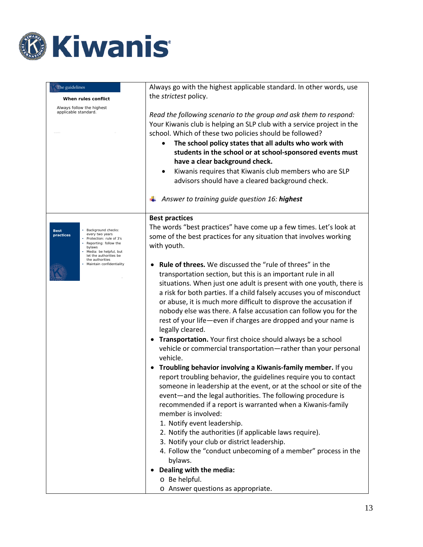

| The guidelines<br>When rules conflict<br>Always follow the highest<br>applicable standard.                                                                                                                                                 | Always go with the highest applicable standard. In other words, use<br>the strictest policy.<br>Read the following scenario to the group and ask them to respond:<br>Your Kiwanis club is helping an SLP club with a service project in the<br>school. Which of these two policies should be followed?<br>The school policy states that all adults who work with<br>students in the school or at school-sponsored events must<br>have a clear background check.<br>Kiwanis requires that Kiwanis club members who are SLP<br>advisors should have a cleared background check.                                                                                                                                                                                                                                                                                                                                                                                                                                                                                                                                                                                                                                                                                                                                                                                                                                                                                                   |
|--------------------------------------------------------------------------------------------------------------------------------------------------------------------------------------------------------------------------------------------|---------------------------------------------------------------------------------------------------------------------------------------------------------------------------------------------------------------------------------------------------------------------------------------------------------------------------------------------------------------------------------------------------------------------------------------------------------------------------------------------------------------------------------------------------------------------------------------------------------------------------------------------------------------------------------------------------------------------------------------------------------------------------------------------------------------------------------------------------------------------------------------------------------------------------------------------------------------------------------------------------------------------------------------------------------------------------------------------------------------------------------------------------------------------------------------------------------------------------------------------------------------------------------------------------------------------------------------------------------------------------------------------------------------------------------------------------------------------------------|
|                                                                                                                                                                                                                                            | Answer to training guide question 16: highest                                                                                                                                                                                                                                                                                                                                                                                                                                                                                                                                                                                                                                                                                                                                                                                                                                                                                                                                                                                                                                                                                                                                                                                                                                                                                                                                                                                                                                   |
| • Background checks:<br><b>Best</b><br>every two years<br>practices<br>• Protection: rule of 3's<br>Reporting: follow the<br>bylaws<br>· Media: be helpful, but<br>let the authorities be<br>the authorities<br>· Maintain confidentiality | <b>Best practices</b><br>The words "best practices" have come up a few times. Let's look at<br>some of the best practices for any situation that involves working<br>with youth.<br><b>Rule of threes.</b> We discussed the "rule of threes" in the<br>transportation section, but this is an important rule in all<br>situations. When just one adult is present with one youth, there is<br>a risk for both parties. If a child falsely accuses you of misconduct<br>or abuse, it is much more difficult to disprove the accusation if<br>nobody else was there. A false accusation can follow you for the<br>rest of your life-even if charges are dropped and your name is<br>legally cleared.<br>Transportation. Your first choice should always be a school<br>vehicle or commercial transportation-rather than your personal<br>vehicle.<br>Troubling behavior involving a Kiwanis-family member. If you<br>report troubling behavior, the guidelines require you to contact<br>someone in leadership at the event, or at the school or site of the<br>event-and the legal authorities. The following procedure is<br>recommended if a report is warranted when a Kiwanis-family<br>member is involved:<br>1. Notify event leadership.<br>2. Notify the authorities (if applicable laws require).<br>3. Notify your club or district leadership.<br>4. Follow the "conduct unbecoming of a member" process in the<br>bylaws.<br>Dealing with the media:<br>o Be helpful. |
|                                                                                                                                                                                                                                            | o Answer questions as appropriate.                                                                                                                                                                                                                                                                                                                                                                                                                                                                                                                                                                                                                                                                                                                                                                                                                                                                                                                                                                                                                                                                                                                                                                                                                                                                                                                                                                                                                                              |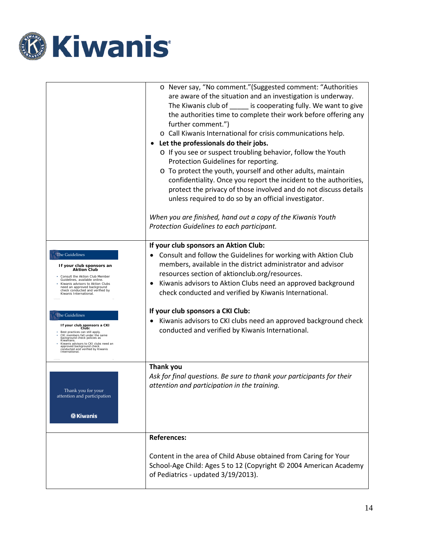

|                                                                                          | o Never say, "No comment." (Suggested comment: "Authorities           |
|------------------------------------------------------------------------------------------|-----------------------------------------------------------------------|
|                                                                                          | are aware of the situation and an investigation is underway.          |
|                                                                                          | The Kiwanis club of _______ is cooperating fully. We want to give     |
|                                                                                          | the authorities time to complete their work before offering any       |
|                                                                                          | further comment.")                                                    |
|                                                                                          | o Call Kiwanis International for crisis communications help.          |
|                                                                                          | Let the professionals do their jobs.                                  |
|                                                                                          | o If you see or suspect troubling behavior, follow the Youth          |
|                                                                                          | Protection Guidelines for reporting.                                  |
|                                                                                          | o To protect the youth, yourself and other adults, maintain           |
|                                                                                          | confidentiality. Once you report the incident to the authorities,     |
|                                                                                          | protect the privacy of those involved and do not discuss details      |
|                                                                                          | unless required to do so by an official investigator.                 |
|                                                                                          | When you are finished, hand out a copy of the Kiwanis Youth           |
|                                                                                          | Protection Guidelines to each participant.                            |
|                                                                                          | If your club sponsors an Aktion Club:                                 |
| <b>The Guidelines</b>                                                                    | Consult and follow the Guidelines for working with Aktion Club<br>٠   |
| If your club sponsors an                                                                 | members, available in the district administrator and advisor          |
| <b>Aktion Club</b><br>Consult the Aktion Club Member                                     | resources section of aktionclub.org/resources.                        |
| Guidelines, available online.<br>Kiwanis advisors to Aktion Clubs                        | Kiwanis advisors to Aktion Clubs need an approved background          |
| need an approved background<br>check conducted and verified by<br>Kiwanis International. | check conducted and verified by Kiwanis International.                |
| The Guidelines                                                                           | If your club sponsors a CKI Club:                                     |
| If your club sponsors a CKI                                                              | Kiwanis advisors to CKI clubs need an approved background check       |
| Club:<br>Best practices can still apply.<br>CKI members fall under the same              | conducted and verified by Kiwanis International.                      |
| background check policies as<br>Kiwanians.<br>Kiwanis advisors to CKI clubs need an      |                                                                       |
| approved background check<br>conducted and verified by Kiwanis<br>International.         |                                                                       |
|                                                                                          |                                                                       |
|                                                                                          | <b>Thank you</b>                                                      |
|                                                                                          | Ask for final questions. Be sure to thank your participants for their |
| Thank you for your                                                                       | attention and participation in the training.                          |
| attention and participation                                                              |                                                                       |
|                                                                                          |                                                                       |
| <b><i><b>@Kiwanis</b></i></b>                                                            |                                                                       |
|                                                                                          |                                                                       |
|                                                                                          | <b>References:</b>                                                    |
|                                                                                          |                                                                       |
|                                                                                          | Content in the area of Child Abuse obtained from Caring for Your      |
|                                                                                          | School-Age Child: Ages 5 to 12 (Copyright © 2004 American Academy     |
|                                                                                          | of Pediatrics - updated 3/19/2013).                                   |
|                                                                                          |                                                                       |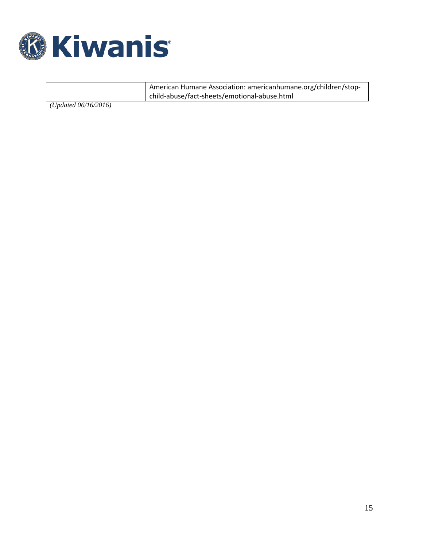

American Humane Association: americanhumane.org/children/stopchild-abuse/fact-sheets/emotional-abuse.html

*(Updated 06/16/2016)*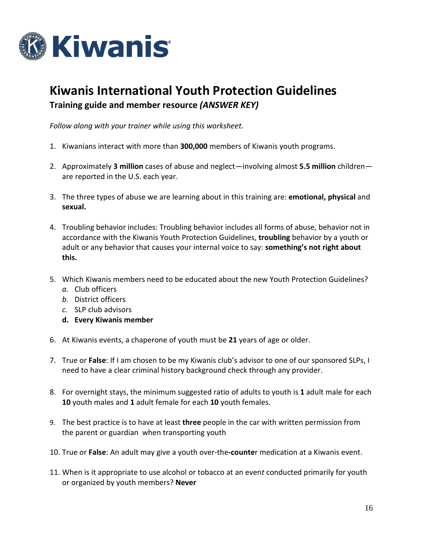

# **Kiwanis International Youth Protection Guidelines Training guide and member resource** *(ANSWER KEY)*

*Follow along with your trainer while using this worksheet.* 

- 1. Kiwanians interact with more than **300,000** members of Kiwanis youth programs.
- 2. Approximately **3 million** cases of abuse and neglect—involving almost **5.5 million** children are reported in the U.S. each year.
- 3. The three types of abuse we are learning about in this training are: **emotional, physical** and **sexual.**
- 4. Troubling behavior includes: Troubling behavior includes all forms of abuse, behavior not in accordance with the Kiwanis Youth Protection Guidelines, **troubling** behavior by a youth or adult or any behavior that causes your internal voice to say: **something's not right about this.**
- 5. Which Kiwanis members need to be educated about the new Youth Protection Guidelines?
	- *a.* Club officers
	- *b.* District officers
	- *c.* SLP club advisors
	- **d. Every Kiwanis member**
- 6. At Kiwanis events, a chaperone of youth must be **21** years of age or older.
- 7. True or **False**: If I am chosen to be my Kiwanis club's advisor to one of our sponsored SLPs, I need to have a clear criminal history background check through any provider.
- 8. For overnight stays, the minimum suggested ratio of adults to youth is **1** adult male for each **10** youth males and **1** adult female for each **10** youth females.
- 9. The best practice is to have at least **three** people in the car with written permission from the parent or guardian when transporting youth
- 10. True or **False**: An adult may give a youth over-the**-counte**r medication at a Kiwanis event.
- 11. When is it appropriate to use alcohol or tobacco at an even*t* conducted primarily for youth or organized by youth members? **Never**